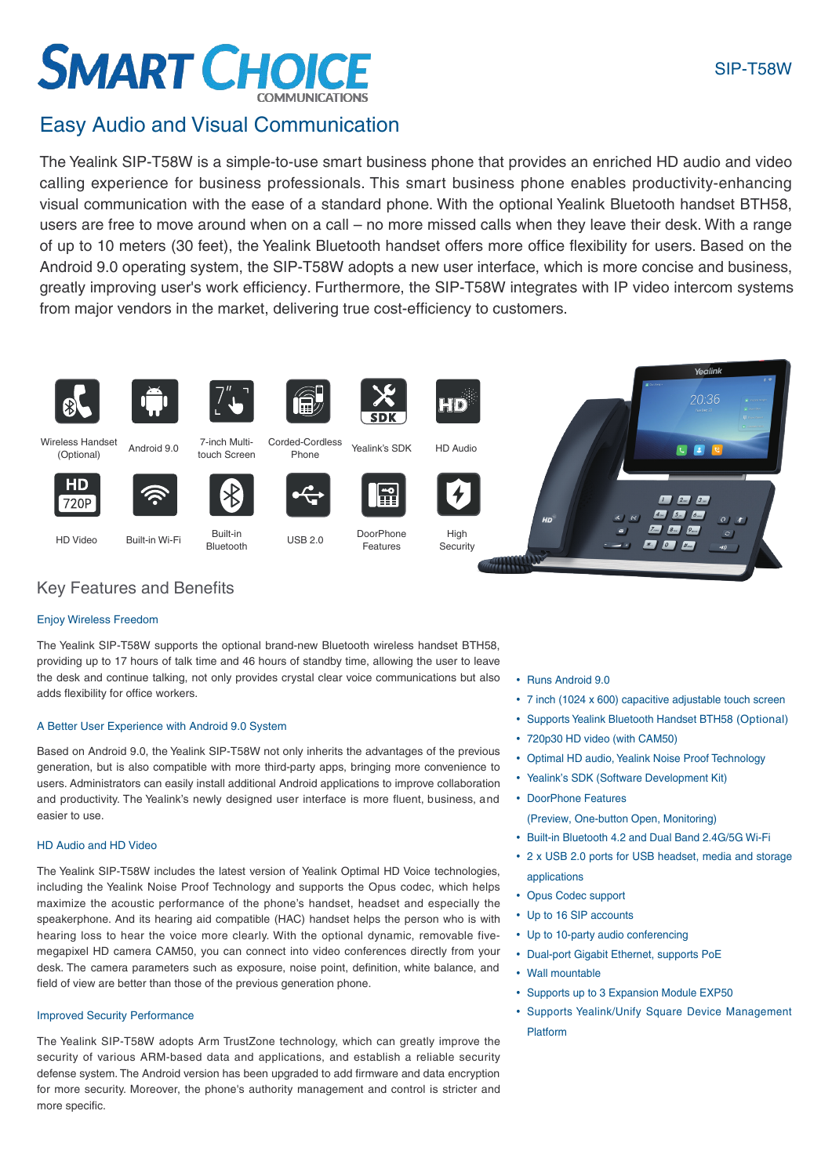### SIP-T58W

# **SMART CHOICE**

### Easy Audio and Visual Communication

The Yealink SIP-T58W is a simple-to-use smart business phone that provides an enriched HD audio and video calling experience for business professionals. This smart business phone enables productivity-enhancing visual communication with the ease of a standard phone. With the optional Yealink Bluetooth handset BTH58, users are free to move around when on a call – no more missed calls when they leave their desk. With a range of up to 10 meters (30 feet), the Yealink Bluetooth handset offers more office flexibility for users. Based on the Android 9.0 operating system, the SIP-T58W adopts a new user interface, which is more concise and business, greatly improving user's work efficiency. Furthermore, the SIP-T58W integrates with IP video intercom systems from major vendors in the market, delivering true cost-efficiency to customers.



(Optional)

**HD** 

720F





Wireless Handset Android 9.0 7-inch Multi-<br>Contional Android 9.0 touch Screen

7-inch Multi-







ed-Cordiess Yealink's SDK HD Audio





Built-in Wi-Fi Built-in<br>Bluetooth Built-in Wi-Fi



Corded-Cordless

H

USB 2.0 DoorPhone Features





### Key Features and Benefits

### Enjoy Wireless Freedom

The Yealink SIP-T58W supports the optional brand-new Bluetooth wireless handset BTH58, providing up to 17 hours of talk time and 46 hours of standby time, allowing the user to leave the desk and continue talking, not only provides crystal clear voice communications but also adds flexibility for office workers.

### A Better User Experience with Android 9.0 System

Based on Android 9.0, the Yealink SIP-T58W not only inherits the advantages of the previous generation, but is also compatible with more third-party apps, bringing more convenience to users. Administrators can easily install additional Android applications to improve collaboration and productivity. The Yealink's newly designed user interface is more fluent, business, and easier to use.

### HD Audio and HD Video

The Yealink SIP-T58W includes the latest version of Yealink Optimal HD Voice technologies, including the Yealink Noise Proof Technology and supports the Opus codec, which helps maximize the acoustic performance of the phone's handset, headset and especially the speakerphone. And its hearing aid compatible (HAC) handset helps the person who is with hearing loss to hear the voice more clearly. With the optional dynamic, removable fivemegapixel HD camera CAM50, you can connect into video conferences directly from your desk. The camera parameters such as exposure, noise point, definition, white balance, and field of view are better than those of the previous generation phone.

### Improved Security Performance

The Yealink SIP-T58W adopts Arm TrustZone technology, which can greatly improve the security of various ARM-based data and applications, and establish a reliable security defense system. The Android version has been upgraded to add firmware and data encryption for more security. Moreover, the phone's authority management and control is stricter and more specific.

• Runs Android 9.0

- 7 inch (1024 x 600) capacitive adjustable touch screen
- Supports Yealink Bluetooth Handset BTH58 (Optional)
- 720p30 HD video (with CAM50)
- Optimal HD audio, Yealink Noise Proof Technology
- Yealink's SDK (Software Development Kit)
- DoorPhone Features
	- (Preview, One-button Open, Monitoring)
- Built-in Bluetooth 4.2 and Dual Band 2.4G/5G Wi-Fi
- 2 x USB 2.0 ports for USB headset, media and storage applications
- Opus Codec support
- Up to 16 SIP accounts
- Up to 10-party audio conferencing
- Dual-port Gigabit Ethernet, supports PoE
- Wall mountable
- Supports up to 3 Expansion Module EXP50
- Supports Yealink/Unify Square Device Management Platform